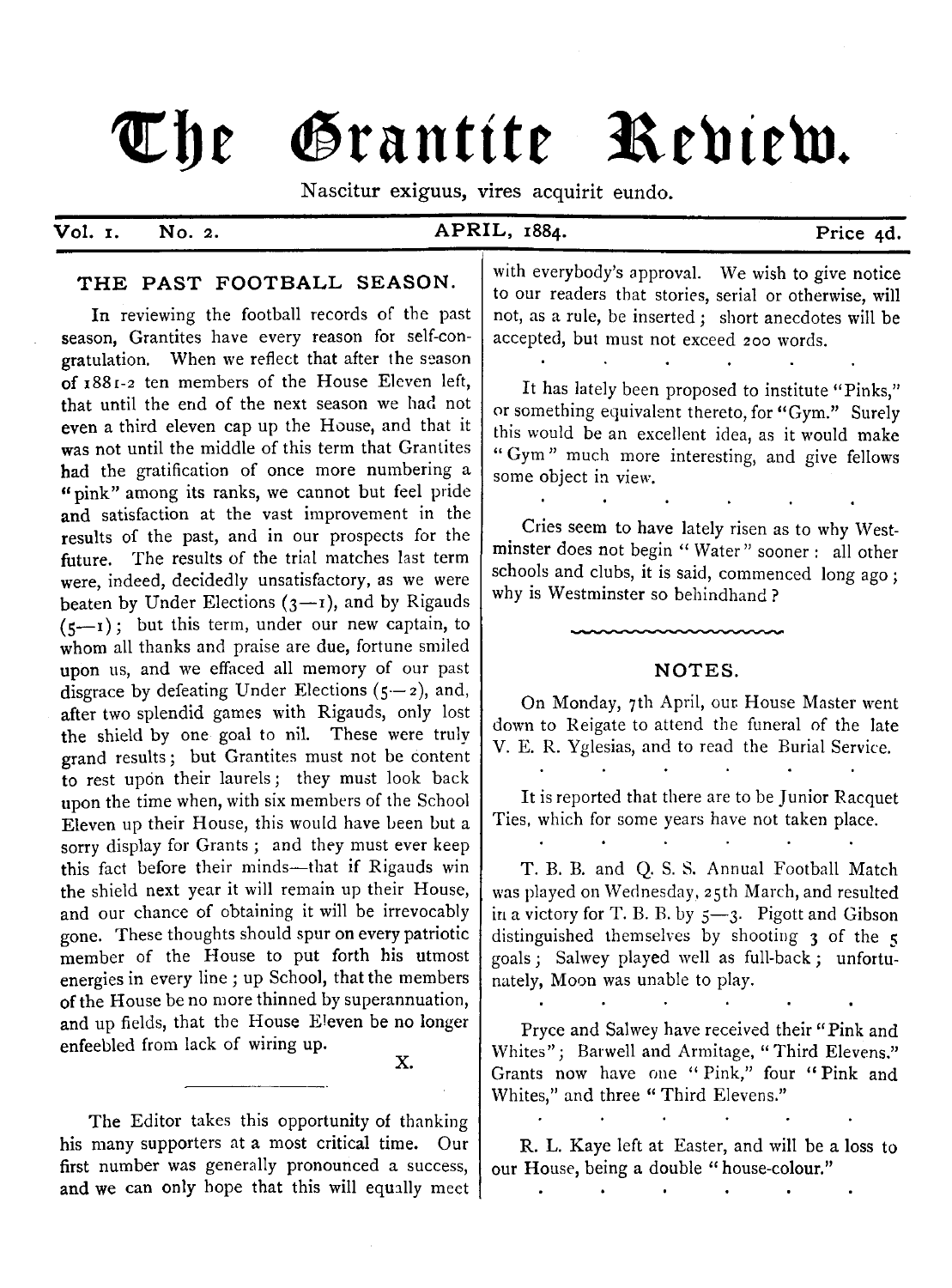# The Grantite Review.

Nascitur exiguus, vires acquirit eundo.

#### **Vol. 1**

#### **No. 2. APRIL, 1884.** Price 4d.

#### **THE PAST FOOTBALL SEASON.**

In reviewing the football records of the past season, Grantites have every reason for self-congratulation. When we reflect that after the season of 1881-2 ten members of the House Eleven left, that until the end of the next season we had not even a third eleven cap up the House, and that it was not until the middle of this term that Grantites had the gratification of once more numbering a " pink" among its ranks, we cannot but feel pride and satisfaction at the vast improvement in the results of the past, and in our prospects for the future. The results of the trial matches last term were, indeed, decidedly unsatisfactory, as we were beaten by Under Elections  $(3 - 1)$ , and by Rigauds  $(5 - 1)$ ; but this term, under our new captain, to whom all thanks and praise are due, fortune smiled upon us, and we effaced all memory of our past disgrace by defeating Under Elections  $(5 - z)$ , and, after two splendid games with Rigauds, only lost the shield by one goal to nil. These were truly grand results; but Grantites must not be content to rest upon their laurels; they must look back upon the time when, with six members of the School Eleven up their House, this would have been but a sorry display for Grants ; and they must ever keep this fact before their minds— that if Rigauds win the shield next year it will remain up their House, and our chance of obtaining it will be irrevocably gone. These thoughts should spur on every patriotic member of the House to put forth his utmost energies in every line ; up School, that the members of the House be no more thinned by superannuation, and up fields, that the House Eleven be no longer enfeebled from lack of wiring up.

X.

The Editor takes this opportunity of thanking his many supporters at a most critical time. Our first number was generally pronounced a success, and we can only hope that this will equally meet with everybody's approval. We wish to give notice to our readers that stories, serial or otherwise, will not, as a rule, be inserted; short anecdotes will be accepted, but must not exceed 200 words.

It has lately been proposed to institute "Pinks." or something equivalent thereto, for "Gym." Surely this would be an excellent idea, as it would make " Gym " much more interesting, and give fellows some object in view.

Cries seem to have lately risen as to why Westminster does not begin " Water " sooner : all other schools and clubs, it is said, commenced long ago ; why is Westminster so behindhand?

#### **NOTES.**

On Monday, 7th April, our. House Master went down to Reigate to attend the funeral of the late V. E. R. Yglesias, and to read the Burial Service.

 $\ddot{\phantom{a}}$ 

 $\mathbf{r}$ 

It is reported that there are to be Junior Racquet Ties, which for some years have not taken place.

 $\mathbf{r}$ 

T. B. B. and Q. S. S. Annual Football Match was played on Wednesday, 25th March, and resulted in a victory for T. B. B. by  $5 - 3$ . Pigott and Gibson distinguished themselves by shooting 3 of the 5 goals ; Salwey played well as full-back ; unfortunately, Moon was unable to play.

Pryce and Salwey have received their " Pink and Whites"; Barwell and Armitage, "Third Elevens." Grants now have one " Pink," four " Pink and Whites," and three "Third Elevens."

R. L. Kaye left at Easter, and will be a loss to our House, being a double " house-colour."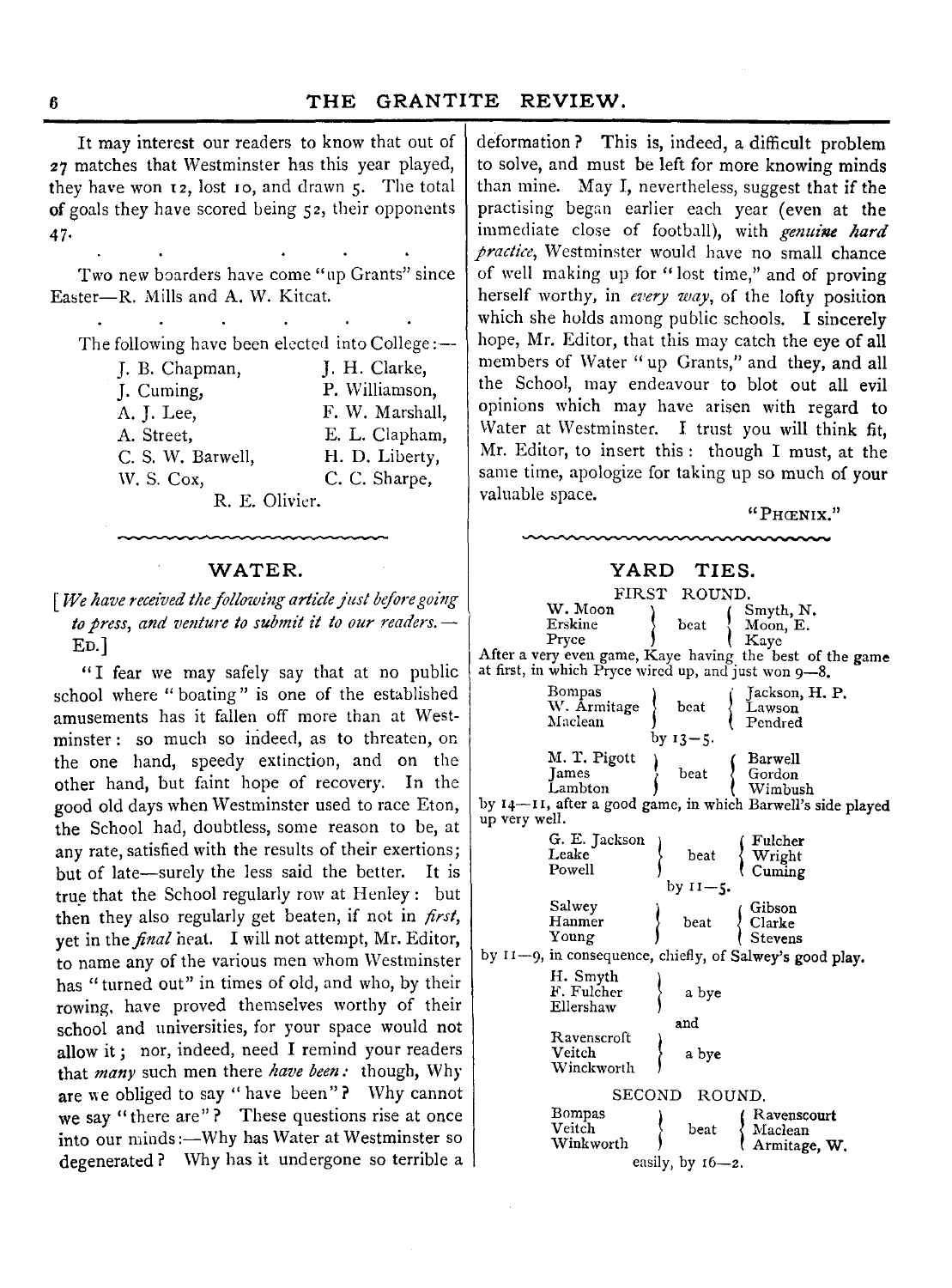It may interest our readers to know that out of 27 matches that Westminster has this year played, they have won 12, lost 10, and drawn 5. The total of goals they have scored being 52, their opponents 47**-**

Two new boarders have come "up Grants" since Easter— R. Mills and A. W. Kitcat.

The following have been elected into College:—

| J. B. Chapman,    | J. H. Clarke,   |  |  |  |
|-------------------|-----------------|--|--|--|
| J. Cuming,        | P. Williamson,  |  |  |  |
| A. J. Lee,        | F. W. Marshall, |  |  |  |
| A. Street,        | E. L. Clapham.  |  |  |  |
| C. S. W. Barwell, | H. D. Liberty,  |  |  |  |
| W. S. Cox,        | C. C. Sharpe,   |  |  |  |
| R. E. Olivier.    |                 |  |  |  |

[*We have received the following article just before going to press, and venture to submit it to our readers.* —•  $E<sub>D</sub>$ .]

"I fear we may safely say that at no public school where " boating " is one of the established amusements has it fallen off more than at Westminster : so much so indeed, as to threaten, on the one hand, speedy extinction, and on the other hand, but faint hope of recovery. In the good old days when Westminster used to race Eton, the School had, doubtless, some reason to be, at any rate, satisfied with the results of their exertions; but of late— surely the less said the better. It is true that the School regularly row at Henley : but then they also regularly get beaten, if not in *first,* yet in the *final* heat. I will not attempt, Mr. Editor, to name any of the various men whom Westminster has " turned out" in times of old, and who, by their rowing, have proved themselves worthy of their school and universities, for your space would not allow it; nor, indeed, need I remind your readers that *many* such men there *have been:* though, Why are we obliged to say " have been" ? Why cannot we say "there are"? These questions rise at once into our minds:— Why has Water at Westminster so degenerated? Why has it undergone so terrible a

deformation? This is, indeed, a difficult problem to solve, and must be left for more knowing minds than mine. May I, nevertheless, suggest that if the practising began earlier each year (even at the immediate close of football), with *genuine hard practice,* Westminster would have no small chance of well making up for " lost time," and of proving herself worthy, in *every way,* of the lofty position which she holds among public schools. I sincerely hope, Mr. Editor, that this may catch the eye of all members of Water "up Grants," and they, and all the School, may endeavour to blot out all evil opinions which may have arisen with regard to Water at Westminster. I trust you will think fit, Mr. Editor, to insert this : though I must, at the same time, apologize for taking up so much of your valuable space.

|  | "Phœnix." |  |
|--|-----------|--|
|--|-----------|--|

## **WATER. YARD TIES.**

|               | FIRST                                                | ROUND.                |                                                             |
|---------------|------------------------------------------------------|-----------------------|-------------------------------------------------------------|
|               | W. Moon                                              |                       | Smyth, N.                                                   |
|               | Erskine                                              | beat                  | Moon, E.                                                    |
|               | Pryce                                                |                       | Kaye                                                        |
|               |                                                      |                       | After a very even game, Kaye having the best of the game    |
|               | at first, in which Pryce wired up, and just won 9-8. |                       |                                                             |
|               |                                                      |                       |                                                             |
|               | Bompas                                               |                       | Jackson, H. P.                                              |
|               | W. Armitage                                          | beat                  | Lawson                                                      |
|               | Maclean                                              |                       | Pendred                                                     |
|               |                                                      | $by$ 13 $-5$ .        |                                                             |
|               | M. T. Pigott                                         |                       | Barwell                                                     |
|               | <b>Tames</b>                                         | beat                  |                                                             |
|               | Lambton                                              |                       | Gordon<br>Wimbush                                           |
|               |                                                      |                       | by 14-11, after a good game, in which Barwell's side played |
| up very well. |                                                      |                       |                                                             |
|               | G. E. Jackson                                        |                       | Fulcher                                                     |
|               | Leake                                                | beat                  |                                                             |
|               | Powell                                               |                       | Wright<br>Cuming                                            |
|               |                                                      | by 11–5.              |                                                             |
|               |                                                      |                       |                                                             |
|               | Salwey                                               |                       | Gibson                                                      |
|               | Hanmer                                               | beat                  | Clarke<br>Stevens                                           |
|               | Young                                                |                       |                                                             |
|               |                                                      |                       | by 11-9, in consequence, chiefly, of Salwey's good play.    |
|               | H. Smyth                                             |                       |                                                             |
|               | F. Fulcher                                           | a bye                 |                                                             |
|               | Ellershaw                                            |                       |                                                             |
|               |                                                      | and                   |                                                             |
|               | Ravenscroft                                          |                       |                                                             |
|               | Veitch                                               | a bye                 |                                                             |
|               | Winckworth                                           |                       |                                                             |
|               |                                                      |                       |                                                             |
|               | SECOND                                               | ROUND.                |                                                             |
|               | Bompas                                               |                       | Ravenscourt                                                 |
|               | Veitch                                               | beat                  | Maclean                                                     |
|               | Winkworth                                            |                       | Armitage, W.                                                |
|               |                                                      | easily, by $16 - 2$ . |                                                             |
|               |                                                      |                       |                                                             |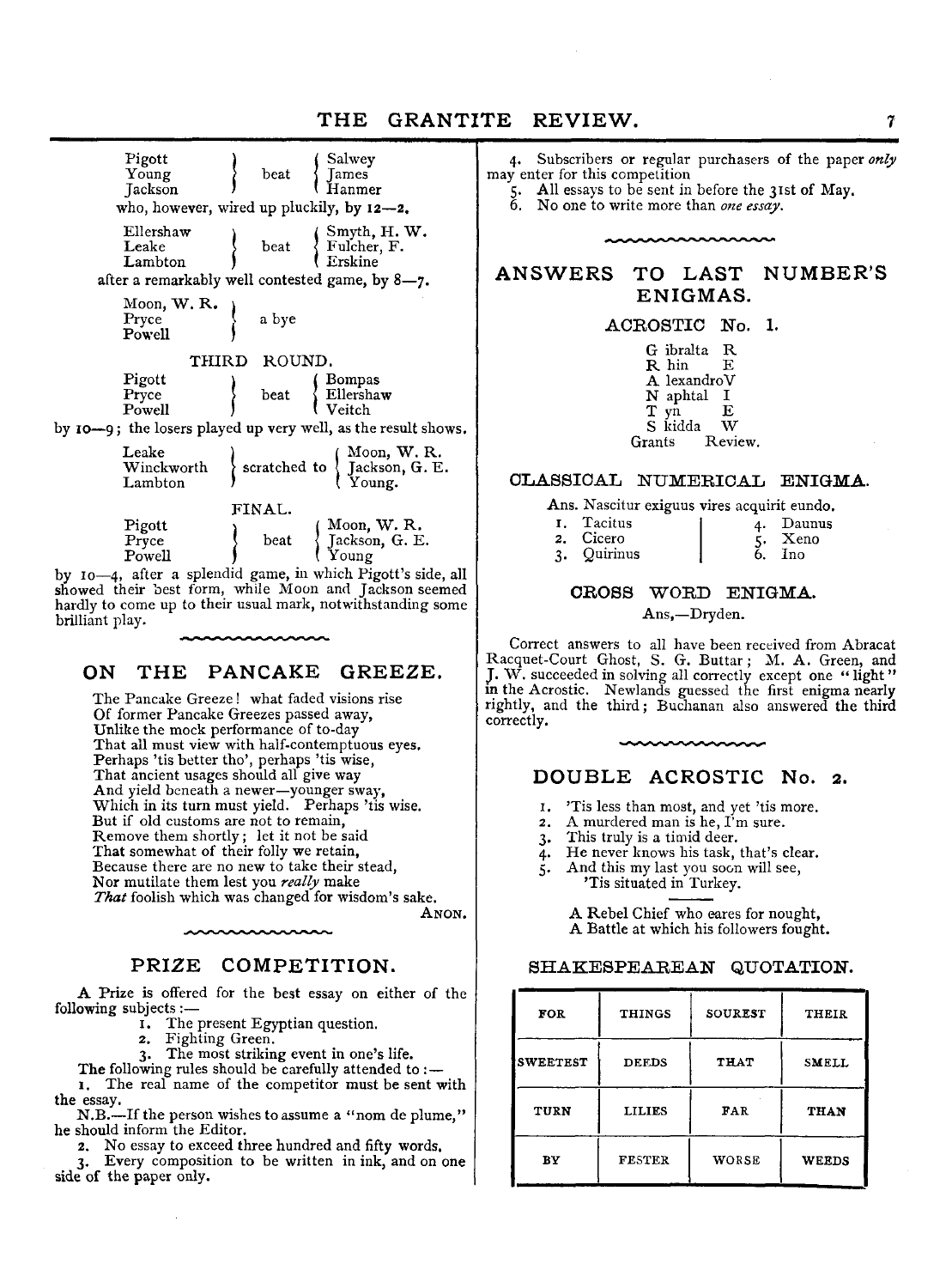## THE GRANTITE REVIEW.

Pigott Salwey Young beat James *<u>Jackson</u>* **f** Hanmer who, however, wired up pluckily, by 12— 2, Ellershaw  $\qquad$  beat  $\qquad$  Fulcher, F.  $\left\{\begin{array}{l}\text{Fulcher, F.}\\ \text{Erskine}\end{array}\right.$ Lambton after a remarkably well contested game, by 8— 7. Moon, W.R. Pryce  $\left\{\begin{array}{c} a \text{ byte} \end{array}\right\}$ Powell ) THIRD ROUND. Pigott ) ( Bompas beat { Ellershaw Powell by 10— 9; the losers played up very well, as the result shows. Leake Winckworth **3** scratched to  $\begin{cases} \text{Moon, W. R.} \\ \text{Jackson, G. E.} \\ \text{Young.} \end{cases}$ FINAL.

Pryce  $\Big\}$  beat { Jackson, G. E.<br>Powell } { Young by 10— 4, after a splendid game, in which Pigott's side, all showed their best form, while Moon and Jackson seemed hardly to come up to their usual mark, notwithstanding some brilliant play.

Pigott<br>
Pryce  $\qquad$  beat  $\qquad$  Jackson, G. E

#### **ON THE PANCAKE GREEZE.**

The Pancake Greeze! what faded visions rise Of former Pancake Greezes passed away, Unlike the mock performance of to-day That all must view with half-contemptuous eyes. Perhaps 'tis better tho', perhaps 'tis wise, That ancient usages should all give way And yield beneath a newer—younger sway, Which in its turn must yield. Perhaps 'tis wise. But if old customs are not to remain, Remove them shortly; let it not be said That somewhat of their folly we retain, Because there are no new to take their stead, Nor mutilate them lest you *really* make *That* foolish which was changed for wisdom's sake. Anon.

#### **PRIZE COMPETITION.**

A Prize is offered for the best essay on either of the following subjects:—

1. The present Egyptian question.

- 2. Fighting Green.
- The most striking event in one's life.
- The following rules should be carefully attended to :-

1. The real name of the competitor must be sent with the essay.

N.B.--If the person wishes to assume a "nom de plume," he should inform the Editor.

2. No essay to exceed three hundred and fifty words.

3. Every composition to be written in ink, and on one side of the paper only.

4. Subscribers or regular purchasers of the paper *only* may enter for this competition

5. All essays to be sent in before the 31st of Mav. 6. No one to write more than *one essay.*

#### **ANSWERS TO LAST ENIGMAS. NUMBER'S**

#### ACROSTIC No. 1.

| G ibralta<br>R hin | R<br>F. |
|--------------------|---------|
| A lexandroV        |         |
| N aphtal           | Ι       |
| yn<br>т<br>S kidda | Ε       |
| Grants             | Review. |
|                    |         |

#### CLASSICAL NUMERICAL ENIGMA.

## Ans. Nascitur exiguus vires acquirit eundo.

| I. Tacitus  | $\mathbf{A}$ | Daunus |
|-------------|--------------|--------|
| 2. Cicero   |              | Xeno   |
| 3. Quirinus |              | Tno.   |

#### CROSS WORD ENIGMA.

Ans,— Dryden.

Correct answers to all have been received from Abracat Racquet-Court Ghost, S. G. Buttar; M. A . Green, and J. W . succeeded in solving all correctly except one " light " in the Acrostic. Newlands guessed the first enigma nearly rightly, and the third; Buchanan also answered the third correctly.

#### **DOUBLE ACROSTIC No. 2.**

- 
- 1. 'Tis less than most, and yet 'tis more. 2. A murdered man is he, I'm sure.
- 3. This truly is a timid deer.
- 4. He never knows his task, that's clear.
- 5. And this my last you soon will see, 'Tis situated in Turkey.

A Rebel Chief who eares for nought, A Battle at which his followers fought.

#### **SHAKESPEAREAN QUOTATION.**

| <b>FOR</b>      | <b>THINGS</b> | SOUREST     | THEIR        |
|-----------------|---------------|-------------|--------------|
| <b>SWEETEST</b> | <b>DEEDS</b>  | <b>THAT</b> | <b>SMELL</b> |
| TURN            | <b>LILIES</b> | FAR         | THAN         |
| BY              | <b>FESTER</b> | WORSE       | <b>WEEDS</b> |